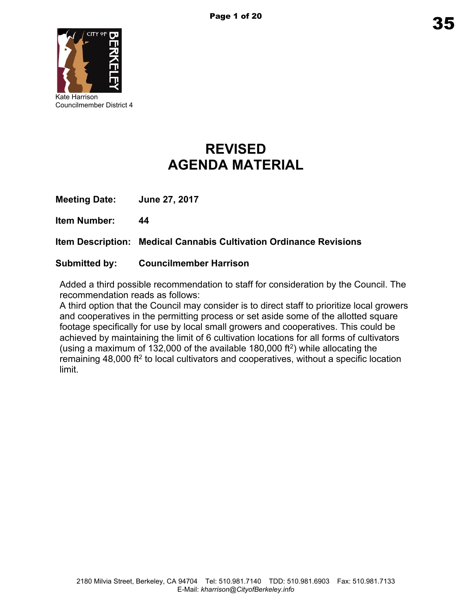

Councilmember District 4

# **REVISED AGENDA MATERIAL**

**Meeting Date: June 27, 2017**

**Item Number: 44**

**Item Description: Medical Cannabis Cultivation Ordinance Revisions**

## **Submitted by: Councilmember Harrison**

Added a third possible recommendation to staff for consideration by the Council. The recommendation reads as follows:

A third option that the Council may consider is to direct staff to prioritize local growers and cooperatives in the permitting process or set aside some of the allotted square footage specifically for use by local small growers and cooperatives. This could be achieved by maintaining the limit of 6 cultivation locations for all forms of cultivators (using a maximum of 132,000 of the available 180,000 ft $^2$ ) while allocating the remaining 48,000 ft<sup>2</sup> to local cultivators and cooperatives, without a specific location limit.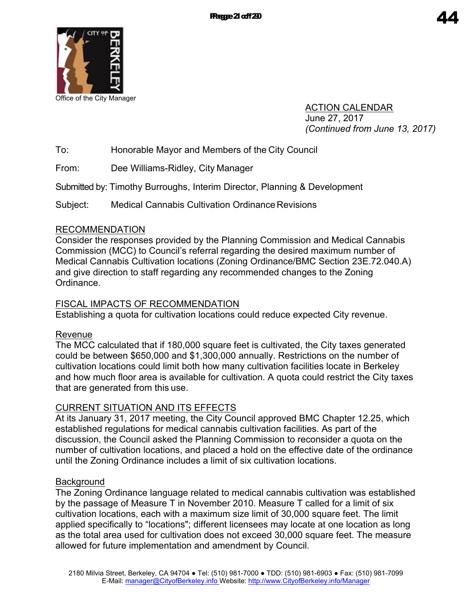

ACTION CALENDAR June 27, 2017 *(Continued from June 13, 2017)*

To: Honorable Mayor and Members of the City Council

From: Dee Williams-Ridley, City Manager

Submitted by: Timothy Burroughs, Interim Director, Planning & Development

Subject: Medical Cannabis Cultivation Ordinance Revisions

## RECOMMENDATION

Consider the responses provided by the Planning Commission and Medical Cannabis Commission (MCC) to Council's referral regarding the desired maximum number of Medical Cannabis Cultivation locations (Zoning Ordinance/BMC Section 23E.72.040.A) and give direction to staff regarding any recommended changes to the Zoning Ordinance.

## FISCAL IMPACTS OF RECOMMENDATION

Establishing a quota for cultivation locations could reduce expected City revenue.

## Revenue

The MCC calculated that if 180,000 square feet is cultivated, the City taxes generated could be between \$650,000 and \$1,300,000 annually. Restrictions on the number of cultivation locations could limit both how many cultivation facilities locate in Berkeley and how much floor area is available for cultivation. A quota could restrict the City taxes that are generated from this use.

## CURRENT SITUATION AND ITS EFFECTS

At its January 31, 2017 meeting, the City Council approved BMC Chapter 12.25, which established regulations for medical cannabis cultivation facilities. As part of the discussion, the Council asked the Planning Commission to reconsider a quota on the number of cultivation locations, and placed a hold on the effective date of the ordinance until the Zoning Ordinance includes a limit of six cultivation locations.

## **Background**

The Zoning Ordinance language related to medical cannabis cultivation was established by the passage of Measure T in November 2010. Measure T called for a limit of six cultivation locations, each with a maximum size limit of 30,000 square feet. The limit applied specifically to "locations"; different licensees may locate at one location as long as the total area used for cultivation does not exceed 30,000 square feet. The measure allowed for future implementation and amendment by Council.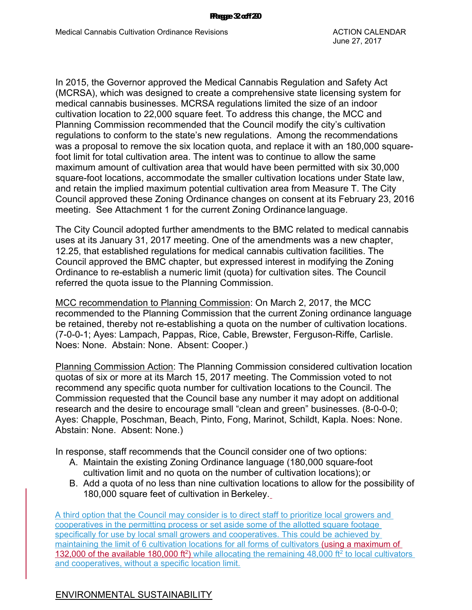In 2015, the Governor approved the Medical Cannabis Regulation and Safety Act (MCRSA), which was designed to create a comprehensive state licensing system for medical cannabis businesses. MCRSA regulations limited the size of an indoor cultivation location to 22,000 square feet. To address this change, the MCC and Planning Commission recommended that the Council modify the city's cultivation regulations to conform to the state's new regulations. Among the recommendations was a proposal to remove the six location quota, and replace it with an 180,000 squarefoot limit for total cultivation area. The intent was to continue to allow the same maximum amount of cultivation area that would have been permitted with six 30,000 square-foot locations, accommodate the smaller cultivation locations under State law, and retain the implied maximum potential cultivation area from Measure T. The City Council approved these Zoning Ordinance changes on consent at its February 23, 2016 meeting. See Attachment 1 for the current Zoning Ordinance language.

The City Council adopted further amendments to the BMC related to medical cannabis uses at its January 31, 2017 meeting. One of the amendments was a new chapter, 12.25, that established regulations for medical cannabis cultivation facilities. The Council approved the BMC chapter, but expressed interest in modifying the Zoning Ordinance to re-establish a numeric limit (quota) for cultivation sites. The Council referred the quota issue to the Planning Commission.

MCC recommendation to Planning Commission: On March 2, 2017, the MCC recommended to the Planning Commission that the current Zoning ordinance language be retained, thereby not re-establishing a quota on the number of cultivation locations. (7-0-0-1; Ayes: Lampach, Pappas, Rice, Cable, Brewster, Ferguson-Riffe, Carlisle. Noes: None. Abstain: None. Absent: Cooper.)

Planning Commission Action: The Planning Commission considered cultivation location quotas of six or more at its March 15, 2017 meeting. The Commission voted to not recommend any specific quota number for cultivation locations to the Council. The Commission requested that the Council base any number it may adopt on additional research and the desire to encourage small "clean and green" businesses. (8-0-0-0; Ayes: Chapple, Poschman, Beach, Pinto, Fong, Marinot, Schildt, Kapla. Noes: None. Abstain: None. Absent: None.)

In response, staff recommends that the Council consider one of two options:

- A. Maintain the existing Zoning Ordinance language (180,000 square-foot cultivation limit and no quota on the number of cultivation locations); or
- B. Add a quota of no less than nine cultivation locations to allow for the possibility of 180,000 square feet of cultivation in Berkeley.

A third option that the Council may consider is to direct staff to prioritize local growers and cooperatives in the permitting process or set aside some of the allotted square footage specifically for use by local small growers and cooperatives. This could be achieved by maintaining the limit of 6 cultivation locations for all forms of cultivators (using a maximum of 132,000 of the available 180,000 ft<sup>2</sup>) while allocating the remaining 48,000 ft<sup>2</sup> to local cultivators and cooperatives, without a specific location limit.

#### ENVIRONMENTAL SUSTAINABILITY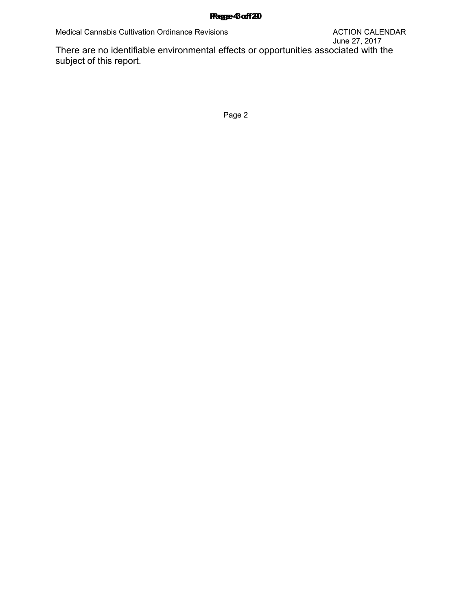#### Page 3 of 9 Page 4 of 20

subject of this report.

Page 2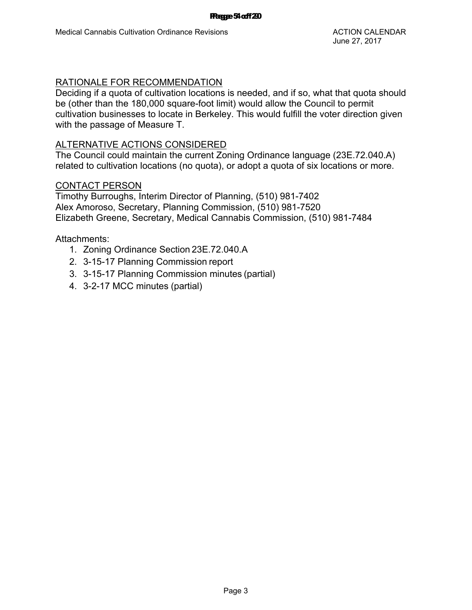## RATIONALE FOR RECOMMENDATION

Deciding if a quota of cultivation locations is needed, and if so, what that quota should be (other than the 180,000 square-foot limit) would allow the Council to permit cultivation businesses to locate in Berkeley. This would fulfill the voter direction given with the passage of Measure T.

#### ALTERNATIVE ACTIONS CONSIDERED

The Council could maintain the current Zoning Ordinance language (23E.72.040.A) related to cultivation locations (no quota), or adopt a quota of six locations or more.

#### CONTACT PERSON

Timothy Burroughs, Interim Director of Planning, (510) 981-7402 Alex Amoroso, Secretary, Planning Commission, (510) 981-7520 Elizabeth Greene, Secretary, Medical Cannabis Commission, (510) 981-7484

- 1. Zoning Ordinance Section 23E.72.040.A
- 2. 3-15-17 Planning Commission report
- 3. 3-15-17 Planning Commission minutes (partial)
- 4. 3-2-17 MCC minutes (partial)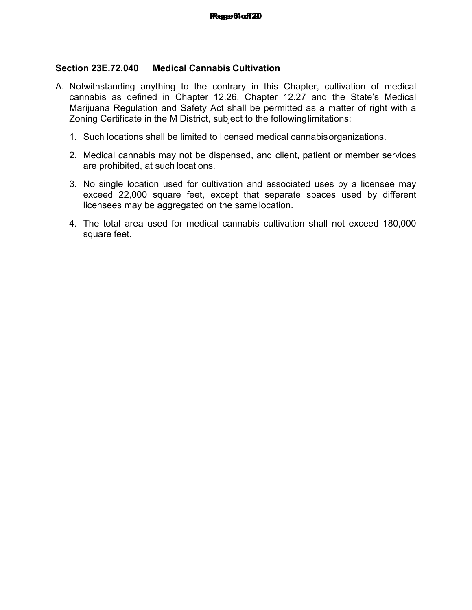### **Section 23E.72.040 Medical Cannabis Cultivation**

- A. Notwithstanding anything to the contrary in this Chapter, cultivation of medical cannabis as defined in Chapter 12.26, Chapter 12.27 and the State's Medical Marijuana Regulation and Safety Act shall be permitted as a matter of right with a Zoning Certificate in the M District, subject to the followinglimitations:
	- 1. Such locations shall be limited to licensed medical cannabisorganizations.
	- 2. Medical cannabis may not be dispensed, and client, patient or member services are prohibited, at such locations.
	- 3. No single location used for cultivation and associated uses by a licensee may exceed 22,000 square feet, except that separate spaces used by different licensees may be aggregated on the same location.
	- 4. The total area used for medical cannabis cultivation shall not exceed 180,000 square feet.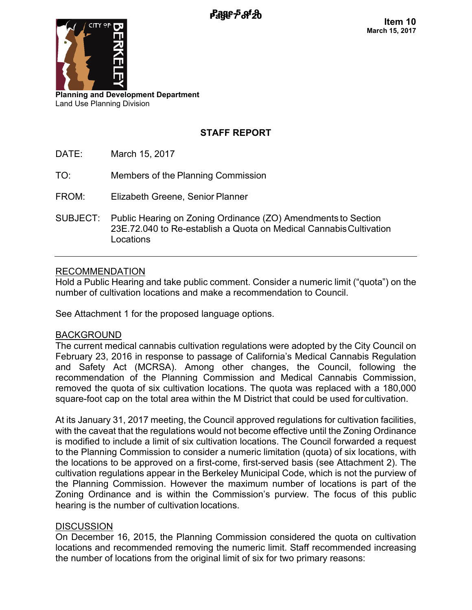

**Planning and Development Department** Land Use Planning Division

## **STAFF REPORT**

- DATE: March 15, 2017
- TO: Members of the Planning Commission
- FROM: Elizabeth Greene, Senior Planner
- SUBJECT: Public Hearing on Zoning Ordinance (ZO) Amendments to Section 23E.72.040 to Re-establish a Quota on Medical CannabisCultivation Locations

## RECOMMENDATION

Hold a Public Hearing and take public comment. Consider a numeric limit ("quota") on the number of cultivation locations and make a recommendation to Council.

See Attachment 1 for the proposed language options.

#### BACKGROUND

The current medical cannabis cultivation regulations were adopted by the City Council on February 23, 2016 in response to passage of California's Medical Cannabis Regulation and Safety Act (MCRSA). Among other changes, the Council, following the recommendation of the Planning Commission and Medical Cannabis Commission, removed the quota of six cultivation locations. The quota was replaced with a 180,000 square-foot cap on the total area within the M District that could be used for cultivation.

At its January 31, 2017 meeting, the Council approved regulations for cultivation facilities, with the caveat that the regulations would not become effective until the Zoning Ordinance is modified to include a limit of six cultivation locations. The Council forwarded a request to the Planning Commission to consider a numeric limitation (quota) of six locations, with the locations to be approved on a first-come, first-served basis (see Attachment 2). The cultivation regulations appear in the Berkeley Municipal Code, which is not the purview of the Planning Commission. However the maximum number of locations is part of the Zoning Ordinance and is within the Commission's purview. The focus of this public hearing is the number of cultivation locations.

## **DISCUSSION**

On December 16, 2015, the Planning Commission considered the quota on cultivation locations and recommended removing the numeric limit. Staff recommended increasing the number of locations from the original limit of six for two primary reasons: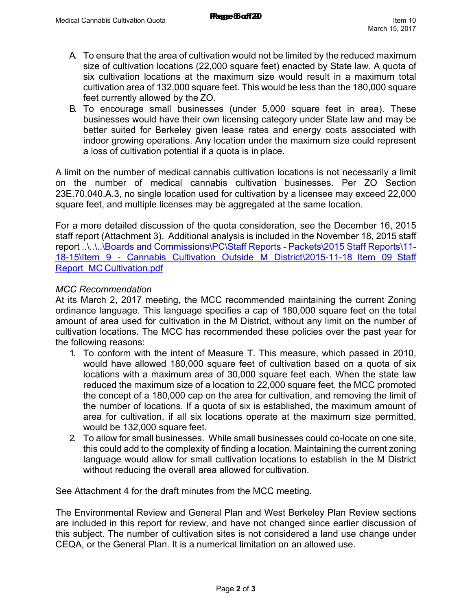- A. To ensure that the area of cultivation would not be limited by the reduced maximum size of cultivation locations (22,000 square feet) enacted by State law. A quota of six cultivation locations at the maximum size would result in a maximum total cultivation area of 132,000 square feet. This would be less than the 180,000 square feet currently allowed by the ZO.
- B. To encourage small businesses (under 5,000 square feet in area). These businesses would have their own licensing category under State law and may be better suited for Berkeley given lease rates and energy costs associated with indoor growing operations. Any location under the maximum size could represent a loss of cultivation potential if a quota is in place.

A limit on the number of medical cannabis cultivation locations is not necessarily a limit on the number of medical cannabis cultivation businesses. Per ZO Section 23E.70.040.A.3, no single location used for cultivation by a licensee may exceed 22,000 square feet, and multiple licenses may be aggregated at the same location.

For a more detailed discussion of the quota consideration, see the December 16, 2015 staff report (Attachment 3). Additional analysis is included in the November 18, 2015 staff report ..\..\..\Boards and Commissions\PC\Staff Reports - Packets\2015 Staff Reports\11- 18-15\Item 9 - Cannabis Cultivation Outside M District\2015-11-18\_Item 09\_Staff Report\_MC Cultivation.pdf

#### *MCC Recommendation*

At its March 2, 2017 meeting, the MCC recommended maintaining the current Zoning ordinance language. This language specifies a cap of 180,000 square feet on the total amount of area used for cultivation in the M District, without any limit on the number of cultivation locations. The MCC has recommended these policies over the past year for the following reasons:

- 1. To conform with the intent of Measure T. This measure, which passed in 2010, would have allowed 180,000 square feet of cultivation based on a quota of six locations with a maximum area of 30,000 square feet each. When the state law reduced the maximum size of a location to 22,000 square feet, the MCC promoted the concept of a 180,000 cap on the area for cultivation, and removing the limit of the number of locations. If a quota of six is established, the maximum amount of area for cultivation, if all six locations operate at the maximum size permitted, would be 132,000 square feet.
- 2. To allow for small businesses. While small businesses could co-locate on one site, this could add to the complexity of finding a location. Maintaining the current zoning language would allow for small cultivation locations to establish in the M District without reducing the overall area allowed for cultivation.

See Attachment 4 for the draft minutes from the MCC meeting.

The Environmental Review and General Plan and West Berkeley Plan Review sections are included in this report for review, and have not changed since earlier discussion of this subject. The number of cultivation sites is not considered a land use change under CEQA, or the General Plan. It is a numerical limitation on an allowed use.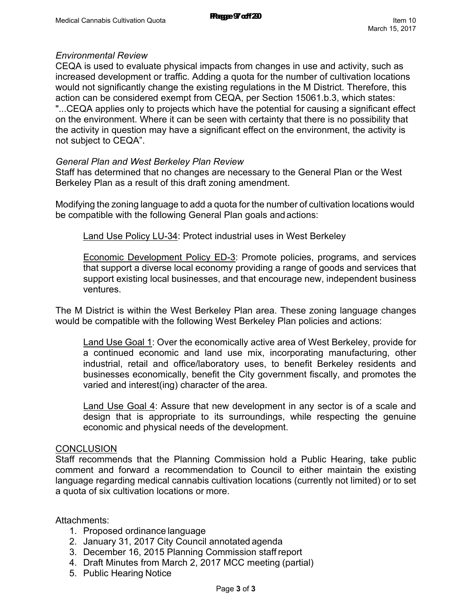### *Environmental Review*

CEQA is used to evaluate physical impacts from changes in use and activity, such as increased development or traffic. Adding a quota for the number of cultivation locations would not significantly change the existing regulations in the M District. Therefore, this action can be considered exempt from CEQA, per Section 15061.b.3, which states: "...CEQA applies only to projects which have the potential for causing a significant effect on the environment. Where it can be seen with certainty that there is no possibility that the activity in question may have a significant effect on the environment, the activity is not subject to CEQA".

#### *General Plan and West Berkeley Plan Review*

Staff has determined that no changes are necessary to the General Plan or the West Berkeley Plan as a result of this draft zoning amendment.

Modifying the zoning language to add a quota for the number of cultivation locations would be compatible with the following General Plan goals and actions:

Land Use Policy LU-34: Protect industrial uses in West Berkeley

Economic Development Policy ED-3: Promote policies, programs, and services that support a diverse local economy providing a range of goods and services that support existing local businesses, and that encourage new, independent business ventures.

The M District is within the West Berkeley Plan area. These zoning language changes would be compatible with the following West Berkeley Plan policies and actions:

Land Use Goal 1: Over the economically active area of West Berkeley, provide for a continued economic and land use mix, incorporating manufacturing, other industrial, retail and office/laboratory uses, to benefit Berkeley residents and businesses economically, benefit the City government fiscally, and promotes the varied and interest(ing) character of the area.

Land Use Goal 4: Assure that new development in any sector is of a scale and design that is appropriate to its surroundings, while respecting the genuine economic and physical needs of the development.

#### **CONCLUSION**

Staff recommends that the Planning Commission hold a Public Hearing, take public comment and forward a recommendation to Council to either maintain the existing language regarding medical cannabis cultivation locations (currently not limited) or to set a quota of six cultivation locations or more.

- 1. Proposed ordinance language
- 2. January 31, 2017 City Council annotated agenda
- 3. December 16, 2015 Planning Commission staff report
- 4. Draft Minutes from March 2, 2017 MCC meeting (partial)
- 5. Public Hearing Notice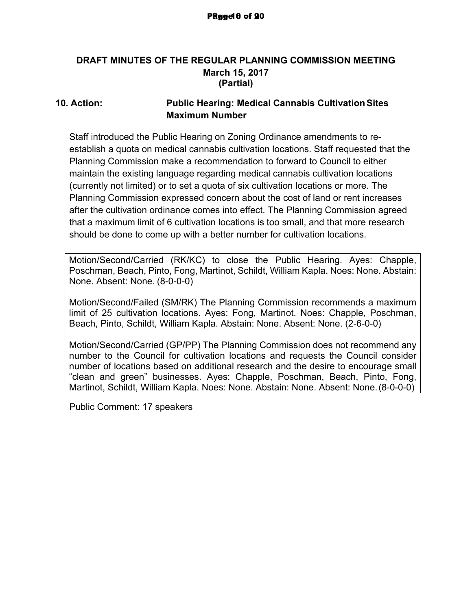## **DRAFT MINUTES OF THE REGULAR PLANNING COMMISSION MEETING March 15, 2017 (Partial)**

## **10. Action: Public Hearing: Medical Cannabis CultivationSites Maximum Number**

Staff introduced the Public Hearing on Zoning Ordinance amendments to reestablish a quota on medical cannabis cultivation locations. Staff requested that the Planning Commission make a recommendation to forward to Council to either maintain the existing language regarding medical cannabis cultivation locations (currently not limited) or to set a quota of six cultivation locations or more. The Planning Commission expressed concern about the cost of land or rent increases after the cultivation ordinance comes into effect. The Planning Commission agreed that a maximum limit of 6 cultivation locations is too small, and that more research should be done to come up with a better number for cultivation locations.

Motion/Second/Carried (RK/KC) to close the Public Hearing. Ayes: Chapple, Poschman, Beach, Pinto, Fong, Martinot, Schildt, William Kapla. Noes: None. Abstain: None. Absent: None. (8-0-0-0)

Motion/Second/Failed (SM/RK) The Planning Commission recommends a maximum limit of 25 cultivation locations. Ayes: Fong, Martinot. Noes: Chapple, Poschman, Beach, Pinto, Schildt, William Kapla. Abstain: None. Absent: None. (2-6-0-0)

Motion/Second/Carried (GP/PP) The Planning Commission does not recommend any number to the Council for cultivation locations and requests the Council consider number of locations based on additional research and the desire to encourage small "clean and green" businesses. Ayes: Chapple, Poschman, Beach, Pinto, Fong, Martinot, Schildt, William Kapla. Noes: None. Abstain: None. Absent: None.(8-0-0-0)

Public Comment: 17 speakers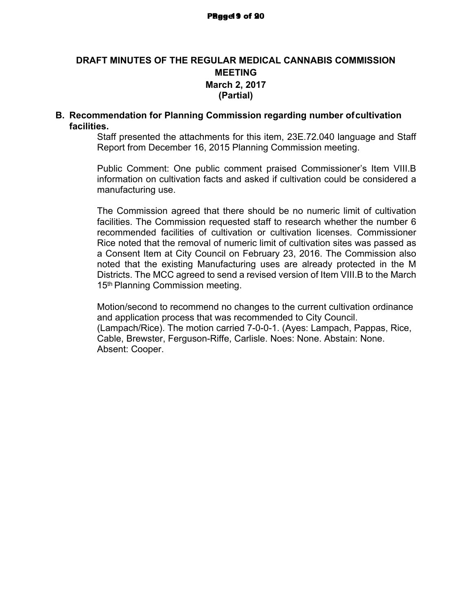## **DRAFT MINUTES OF THE REGULAR MEDICAL CANNABIS COMMISSION MEETING March 2, 2017 (Partial)**

#### **B. Recommendation for Planning Commission regarding number ofcultivation facilities.**

Staff presented the attachments for this item, 23E.72.040 language and Staff Report from December 16, 2015 Planning Commission meeting.

Public Comment: One public comment praised Commissioner's Item VIII.B information on cultivation facts and asked if cultivation could be considered a manufacturing use.

The Commission agreed that there should be no numeric limit of cultivation facilities. The Commission requested staff to research whether the number 6 recommended facilities of cultivation or cultivation licenses. Commissioner Rice noted that the removal of numeric limit of cultivation sites was passed as a Consent Item at City Council on February 23, 2016. The Commission also noted that the existing Manufacturing uses are already protected in the M Districts. The MCC agreed to send a revised version of Item VIII.B to the March 15<sup>th</sup> Planning Commission meeting.

Motion/second to recommend no changes to the current cultivation ordinance and application process that was recommended to City Council. (Lampach/Rice). The motion carried 7-0-0-1. (Ayes: Lampach, Pappas, Rice, Cable, Brewster, Ferguson-Riffe, Carlisle. Noes: None. Abstain: None. Absent: Cooper.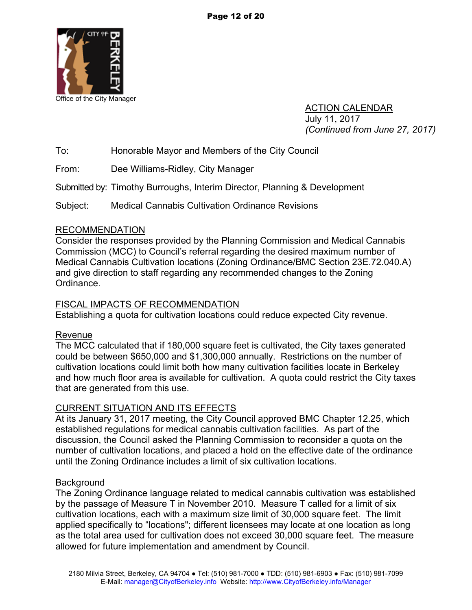

ACTION CALENDAR July 11, 2017 *(Continued from June 27, 2017)*

To: Honorable Mayor and Members of the City Council

From: Dee Williams-Ridley, City Manager

Submitted by: Timothy Burroughs, Interim Director, Planning & Development

Subject: Medical Cannabis Cultivation Ordinance Revisions

#### RECOMMENDATION

Consider the responses provided by the Planning Commission and Medical Cannabis Commission (MCC) to Council's referral regarding the desired maximum number of Medical Cannabis Cultivation locations (Zoning Ordinance/BMC Section 23E.72.040.A) and give direction to staff regarding any recommended changes to the Zoning Ordinance.

## FISCAL IMPACTS OF RECOMMENDATION

Establishing a quota for cultivation locations could reduce expected City revenue.

#### Revenue

The MCC calculated that if 180,000 square feet is cultivated, the City taxes generated could be between \$650,000 and \$1,300,000 annually. Restrictions on the number of cultivation locations could limit both how many cultivation facilities locate in Berkeley and how much floor area is available for cultivation. A quota could restrict the City taxes that are generated from this use.

## CURRENT SITUATION AND ITS EFFECTS

At its January 31, 2017 meeting, the City Council approved BMC Chapter 12.25, which established regulations for medical cannabis cultivation facilities. As part of the discussion, the Council asked the Planning Commission to reconsider a quota on the number of cultivation locations, and placed a hold on the effective date of the ordinance until the Zoning Ordinance includes a limit of six cultivation locations.

#### **Background**

The Zoning Ordinance language related to medical cannabis cultivation was established by the passage of Measure T in November 2010. Measure T called for a limit of six cultivation locations, each with a maximum size limit of 30,000 square feet. The limit applied specifically to "locations"; different licensees may locate at one location as long as the total area used for cultivation does not exceed 30,000 square feet. The measure allowed for future implementation and amendment by Council.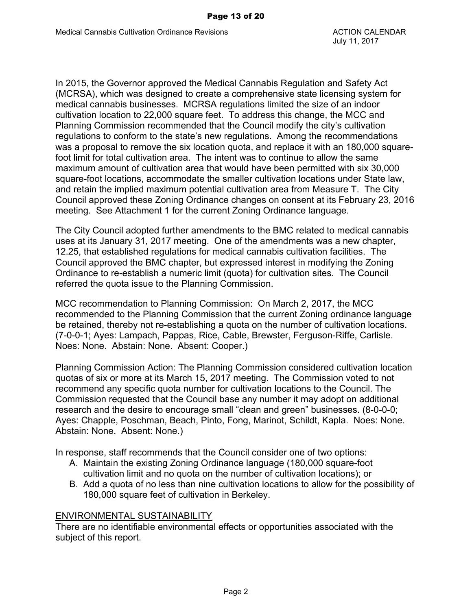In 2015, the Governor approved the Medical Cannabis Regulation and Safety Act (MCRSA), which was designed to create a comprehensive state licensing system for medical cannabis businesses. MCRSA regulations limited the size of an indoor cultivation location to 22,000 square feet. To address this change, the MCC and Planning Commission recommended that the Council modify the city's cultivation regulations to conform to the state's new regulations. Among the recommendations was a proposal to remove the six location quota, and replace it with an 180,000 squarefoot limit for total cultivation area. The intent was to continue to allow the same maximum amount of cultivation area that would have been permitted with six 30,000 square-foot locations, accommodate the smaller cultivation locations under State law, and retain the implied maximum potential cultivation area from Measure T. The City Council approved these Zoning Ordinance changes on consent at its February 23, 2016 meeting. See Attachment 1 for the current Zoning Ordinance language.

The City Council adopted further amendments to the BMC related to medical cannabis uses at its January 31, 2017 meeting. One of the amendments was a new chapter, 12.25, that established regulations for medical cannabis cultivation facilities. The Council approved the BMC chapter, but expressed interest in modifying the Zoning Ordinance to re-establish a numeric limit (quota) for cultivation sites. The Council referred the quota issue to the Planning Commission.

MCC recommendation to Planning Commission: On March 2, 2017, the MCC recommended to the Planning Commission that the current Zoning ordinance language be retained, thereby not re-establishing a quota on the number of cultivation locations. (7-0-0-1; Ayes: Lampach, Pappas, Rice, Cable, Brewster, Ferguson-Riffe, Carlisle. Noes: None. Abstain: None. Absent: Cooper.)

Planning Commission Action: The Planning Commission considered cultivation location quotas of six or more at its March 15, 2017 meeting. The Commission voted to not recommend any specific quota number for cultivation locations to the Council. The Commission requested that the Council base any number it may adopt on additional research and the desire to encourage small "clean and green" businesses. (8-0-0-0; Ayes: Chapple, Poschman, Beach, Pinto, Fong, Marinot, Schildt, Kapla. Noes: None. Abstain: None. Absent: None.)

In response, staff recommends that the Council consider one of two options:

- A. Maintain the existing Zoning Ordinance language (180,000 square-foot cultivation limit and no quota on the number of cultivation locations); or
- B. Add a quota of no less than nine cultivation locations to allow for the possibility of 180,000 square feet of cultivation in Berkeley.

#### ENVIRONMENTAL SUSTAINABILITY

There are no identifiable environmental effects or opportunities associated with the subject of this report.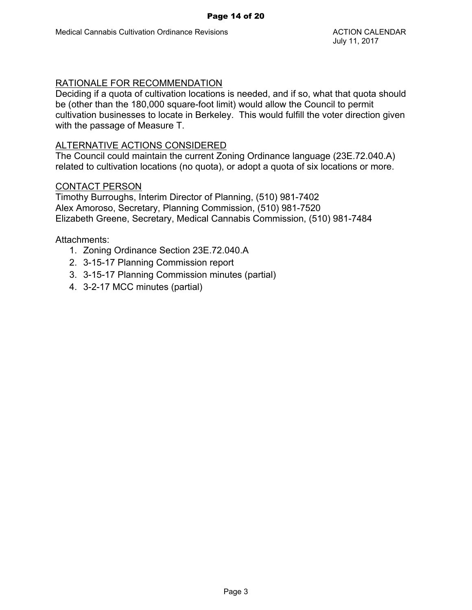## RATIONALE FOR RECOMMENDATION

Deciding if a quota of cultivation locations is needed, and if so, what that quota should be (other than the 180,000 square-foot limit) would allow the Council to permit cultivation businesses to locate in Berkeley. This would fulfill the voter direction given with the passage of Measure T.

#### ALTERNATIVE ACTIONS CONSIDERED

The Council could maintain the current Zoning Ordinance language (23E.72.040.A) related to cultivation locations (no quota), or adopt a quota of six locations or more.

#### CONTACT PERSON

Timothy Burroughs, Interim Director of Planning, (510) 981-7402 Alex Amoroso, Secretary, Planning Commission, (510) 981-7520 Elizabeth Greene, Secretary, Medical Cannabis Commission, (510) 981-7484

- 1. Zoning Ordinance Section 23E.72.040.A
- 2. 3-15-17 Planning Commission report
- 3. 3-15-17 Planning Commission minutes (partial)
- 4. 3-2-17 MCC minutes (partial)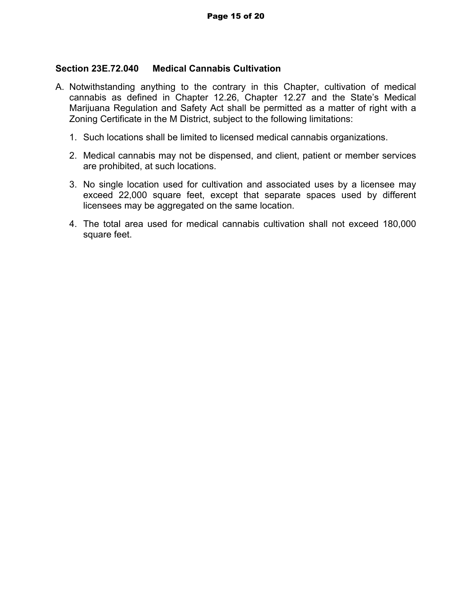### **Section 23E.72.040 Medical Cannabis Cultivation**

- A. Notwithstanding anything to the contrary in this Chapter, cultivation of medical cannabis as defined in Chapter 12.26, Chapter 12.27 and the State's Medical Marijuana Regulation and Safety Act shall be permitted as a matter of right with a Zoning Certificate in the M District, subject to the following limitations:
	- 1. Such locations shall be limited to licensed medical cannabis organizations.
	- 2. Medical cannabis may not be dispensed, and client, patient or member services are prohibited, at such locations.
	- 3. No single location used for cultivation and associated uses by a licensee may exceed 22,000 square feet, except that separate spaces used by different licensees may be aggregated on the same location.
	- 4. The total area used for medical cannabis cultivation shall not exceed 180,000 square feet.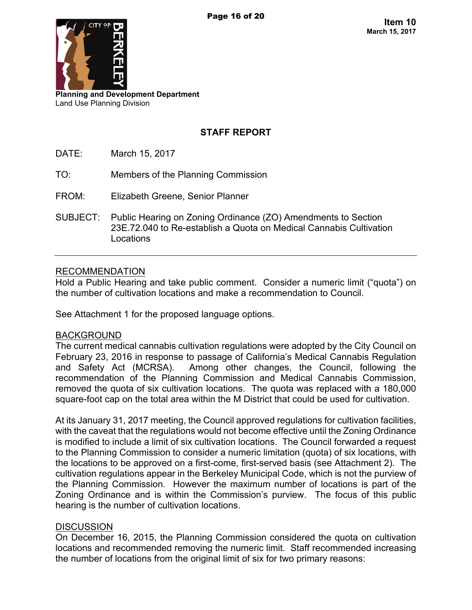

**Planning and Development Department** Land Use Planning Division

## **STAFF REPORT**

- DATE: March 15, 2017
- TO: Members of the Planning Commission
- FROM: Elizabeth Greene, Senior Planner
- SUBJECT: Public Hearing on Zoning Ordinance (ZO) Amendments to Section 23E.72.040 to Re-establish a Quota on Medical Cannabis Cultivation Locations

#### RECOMMENDATION

Hold a Public Hearing and take public comment. Consider a numeric limit ("quota") on the number of cultivation locations and make a recommendation to Council.

See Attachment 1 for the proposed language options.

#### BACKGROUND

The current medical cannabis cultivation regulations were adopted by the City Council on February 23, 2016 in response to passage of California's Medical Cannabis Regulation and Safety Act (MCRSA). Among other changes, the Council, following the recommendation of the Planning Commission and Medical Cannabis Commission, removed the quota of six cultivation locations. The quota was replaced with a 180,000 square-foot cap on the total area within the M District that could be used for cultivation.

At its January 31, 2017 meeting, the Council approved regulations for cultivation facilities, with the caveat that the regulations would not become effective until the Zoning Ordinance is modified to include a limit of six cultivation locations. The Council forwarded a request to the Planning Commission to consider a numeric limitation (quota) of six locations, with the locations to be approved on a first-come, first-served basis (see Attachment 2). The cultivation regulations appear in the Berkeley Municipal Code, which is not the purview of the Planning Commission. However the maximum number of locations is part of the Zoning Ordinance and is within the Commission's purview. The focus of this public hearing is the number of cultivation locations.

#### **DISCUSSION**

On December 16, 2015, the Planning Commission considered the quota on cultivation locations and recommended removing the numeric limit. Staff recommended increasing the number of locations from the original limit of six for two primary reasons: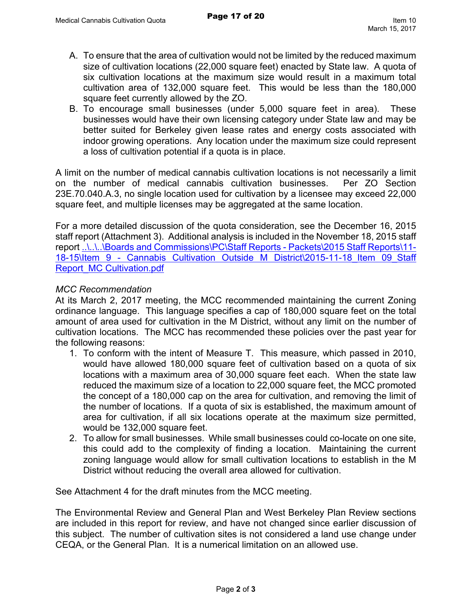- A. To ensure that the area of cultivation would not be limited by the reduced maximum size of cultivation locations (22,000 square feet) enacted by State law. A quota of six cultivation locations at the maximum size would result in a maximum total cultivation area of 132,000 square feet. This would be less than the 180,000 square feet currently allowed by the ZO.
- B. To encourage small businesses (under 5,000 square feet in area). These businesses would have their own licensing category under State law and may be better suited for Berkeley given lease rates and energy costs associated with indoor growing operations. Any location under the maximum size could represent a loss of cultivation potential if a quota is in place.

A limit on the number of medical cannabis cultivation locations is not necessarily a limit on the number of medical cannabis cultivation businesses. Per ZO Section 23E.70.040.A.3, no single location used for cultivation by a licensee may exceed 22,000 square feet, and multiple licenses may be aggregated at the same location.

For a more detailed discussion of the quota consideration, see the December 16, 2015 staff report (Attachment 3). Additional analysis is included in the November 18, 2015 staff report [..\..\..\Boards and Commissions\PC\Staff Reports - Packets\2015 Staff Reports\11-](file://cobnas1/Planning$/LANDUSE/Boards%20and%20Commissions/PC/Staff%20Reports%20-%20Packets/Boards%20and%20Commissions/PC/Staff%20Reports%20-%20Packets/2015%20Staff%20Reports/11-18-15/Item%209%20-%20Cannabis%20Cultivation%20Outside%20M%20District/2015-11-18_Item%2009_Staff%20Report_MC%20Cultivation.pdf) [18-15\Item 9 - Cannabis Cultivation Outside M District\2015-11-18\\_Item 09\\_Staff](file://cobnas1/Planning$/LANDUSE/Boards%20and%20Commissions/PC/Staff%20Reports%20-%20Packets/Boards%20and%20Commissions/PC/Staff%20Reports%20-%20Packets/2015%20Staff%20Reports/11-18-15/Item%209%20-%20Cannabis%20Cultivation%20Outside%20M%20District/2015-11-18_Item%2009_Staff%20Report_MC%20Cultivation.pdf)  [Report\\_MC Cultivation.pdf](file://cobnas1/Planning$/LANDUSE/Boards%20and%20Commissions/PC/Staff%20Reports%20-%20Packets/Boards%20and%20Commissions/PC/Staff%20Reports%20-%20Packets/2015%20Staff%20Reports/11-18-15/Item%209%20-%20Cannabis%20Cultivation%20Outside%20M%20District/2015-11-18_Item%2009_Staff%20Report_MC%20Cultivation.pdf)

#### *MCC Recommendation*

At its March 2, 2017 meeting, the MCC recommended maintaining the current Zoning ordinance language. This language specifies a cap of 180,000 square feet on the total amount of area used for cultivation in the M District, without any limit on the number of cultivation locations. The MCC has recommended these policies over the past year for the following reasons:

- 1. To conform with the intent of Measure T. This measure, which passed in 2010, would have allowed 180,000 square feet of cultivation based on a quota of six locations with a maximum area of 30,000 square feet each. When the state law reduced the maximum size of a location to 22,000 square feet, the MCC promoted the concept of a 180,000 cap on the area for cultivation, and removing the limit of the number of locations. If a quota of six is established, the maximum amount of area for cultivation, if all six locations operate at the maximum size permitted, would be 132,000 square feet.
- 2. To allow for small businesses. While small businesses could co-locate on one site, this could add to the complexity of finding a location. Maintaining the current zoning language would allow for small cultivation locations to establish in the M District without reducing the overall area allowed for cultivation.

See Attachment 4 for the draft minutes from the MCC meeting.

The Environmental Review and General Plan and West Berkeley Plan Review sections are included in this report for review, and have not changed since earlier discussion of this subject. The number of cultivation sites is not considered a land use change under CEQA, or the General Plan. It is a numerical limitation on an allowed use.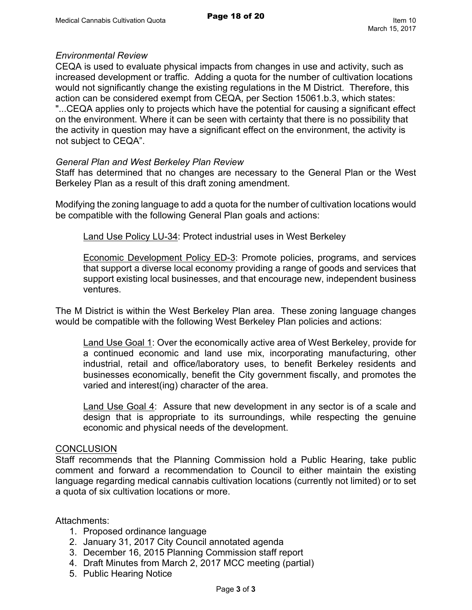#### *Environmental Review*

CEQA is used to evaluate physical impacts from changes in use and activity, such as increased development or traffic. Adding a quota for the number of cultivation locations would not significantly change the existing regulations in the M District. Therefore, this action can be considered exempt from CEQA, per Section 15061.b.3, which states: "...CEQA applies only to projects which have the potential for causing a significant effect on the environment. Where it can be seen with certainty that there is no possibility that the activity in question may have a significant effect on the environment, the activity is not subject to CEQA".

#### *General Plan and West Berkeley Plan Review*

Staff has determined that no changes are necessary to the General Plan or the West Berkeley Plan as a result of this draft zoning amendment.

Modifying the zoning language to add a quota for the number of cultivation locations would be compatible with the following General Plan goals and actions:

Land Use Policy LU-34: Protect industrial uses in West Berkeley

Economic Development Policy ED-3: Promote policies, programs, and services that support a diverse local economy providing a range of goods and services that support existing local businesses, and that encourage new, independent business ventures.

The M District is within the West Berkeley Plan area. These zoning language changes would be compatible with the following West Berkeley Plan policies and actions:

Land Use Goal 1: Over the economically active area of West Berkeley, provide for a continued economic and land use mix, incorporating manufacturing, other industrial, retail and office/laboratory uses, to benefit Berkeley residents and businesses economically, benefit the City government fiscally, and promotes the varied and interest(ing) character of the area.

Land Use Goal 4: Assure that new development in any sector is of a scale and design that is appropriate to its surroundings, while respecting the genuine economic and physical needs of the development.

#### **CONCLUSION**

Staff recommends that the Planning Commission hold a Public Hearing, take public comment and forward a recommendation to Council to either maintain the existing language regarding medical cannabis cultivation locations (currently not limited) or to set a quota of six cultivation locations or more.

- 1. Proposed ordinance language
- 2. January 31, 2017 City Council annotated agenda
- 3. December 16, 2015 Planning Commission staff report
- 4. Draft Minutes from March 2, 2017 MCC meeting (partial)
- 5. Public Hearing Notice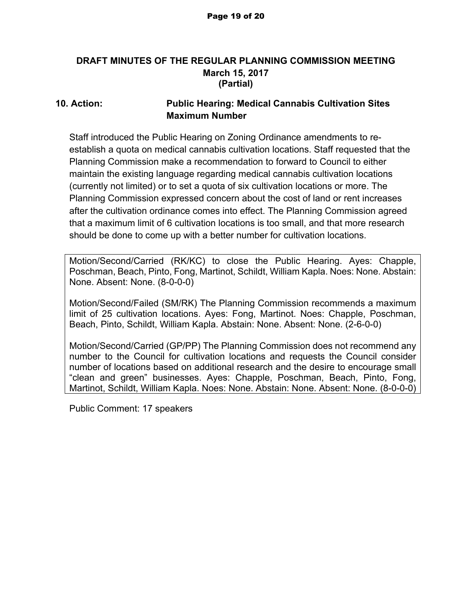## **DRAFT MINUTES OF THE REGULAR PLANNING COMMISSION MEETING March 15, 2017 (Partial)**

## **10. Action: Public Hearing: Medical Cannabis Cultivation Sites Maximum Number**

Staff introduced the Public Hearing on Zoning Ordinance amendments to reestablish a quota on medical cannabis cultivation locations. Staff requested that the Planning Commission make a recommendation to forward to Council to either maintain the existing language regarding medical cannabis cultivation locations (currently not limited) or to set a quota of six cultivation locations or more. The Planning Commission expressed concern about the cost of land or rent increases after the cultivation ordinance comes into effect. The Planning Commission agreed that a maximum limit of 6 cultivation locations is too small, and that more research should be done to come up with a better number for cultivation locations.

Motion/Second/Carried (RK/KC) to close the Public Hearing. Ayes: Chapple, Poschman, Beach, Pinto, Fong, Martinot, Schildt, William Kapla. Noes: None. Abstain: None. Absent: None. (8-0-0-0)

Motion/Second/Failed (SM/RK) The Planning Commission recommends a maximum limit of 25 cultivation locations. Ayes: Fong, Martinot. Noes: Chapple, Poschman, Beach, Pinto, Schildt, William Kapla. Abstain: None. Absent: None. (2-6-0-0)

Motion/Second/Carried (GP/PP) The Planning Commission does not recommend any number to the Council for cultivation locations and requests the Council consider number of locations based on additional research and the desire to encourage small "clean and green" businesses. Ayes: Chapple, Poschman, Beach, Pinto, Fong, Martinot, Schildt, William Kapla. Noes: None. Abstain: None. Absent: None. (8-0-0-0)

Public Comment: 17 speakers